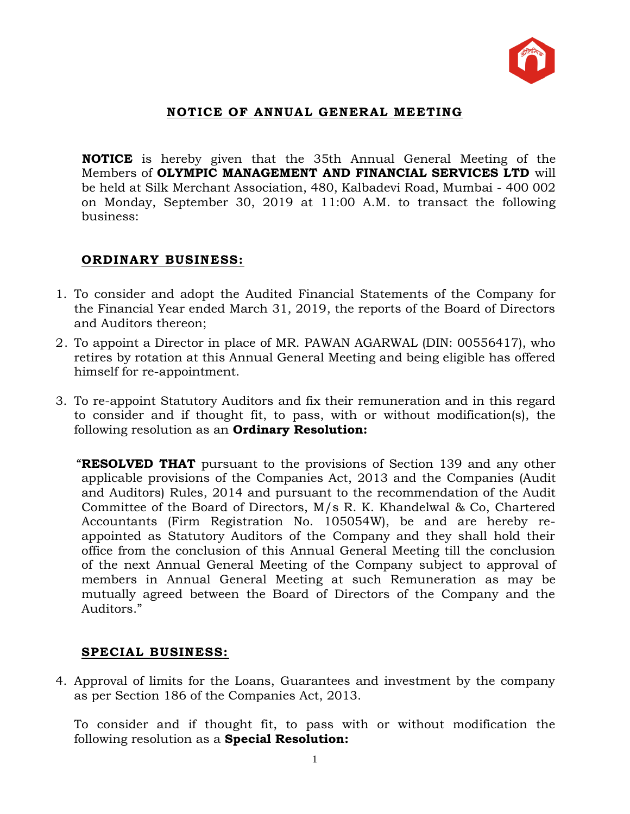

## **NOTICE OF ANNUAL GENERAL MEETING**

**NOTICE** is hereby given that the 35th Annual General Meeting of the Members of **OLYMPIC MANAGEMENT AND FINANCIAL SERVICES LTD** will be held at Silk Merchant Association, 480, Kalbadevi Road, Mumbai - 400 002 on Monday, September 30, 2019 at 11:00 A.M. to transact the following business:

## **ORDINARY BUSINESS:**

- 1. To consider and adopt the Audited Financial Statements of the Company for the Financial Year ended March 31, 2019, the reports of the Board of Directors and Auditors thereon;
- 2. To appoint a Director in place of MR. PAWAN AGARWAL (DIN: 00556417), who retires by rotation at this Annual General Meeting and being eligible has offered himself for re-appointment.
- 3. To re-appoint Statutory Auditors and fix their remuneration and in this regard to consider and if thought fit, to pass, with or without modification(s), the following resolution as an **Ordinary Resolution:**

 "**RESOLVED THAT** pursuant to the provisions of Section 139 and any other applicable provisions of the Companies Act, 2013 and the Companies (Audit and Auditors) Rules, 2014 and pursuant to the recommendation of the Audit Committee of the Board of Directors, M/s R. K. Khandelwal & Co, Chartered Accountants (Firm Registration No. 105054W), be and are hereby reappointed as Statutory Auditors of the Company and they shall hold their office from the conclusion of this Annual General Meeting till the conclusion of the next Annual General Meeting of the Company subject to approval of members in Annual General Meeting at such Remuneration as may be mutually agreed between the Board of Directors of the Company and the Auditors."

## **SPECIAL BUSINESS:**

4. Approval of limits for the Loans, Guarantees and investment by the company as per Section 186 of the Companies Act, 2013.

To consider and if thought fit, to pass with or without modification the following resolution as a **Special Resolution:**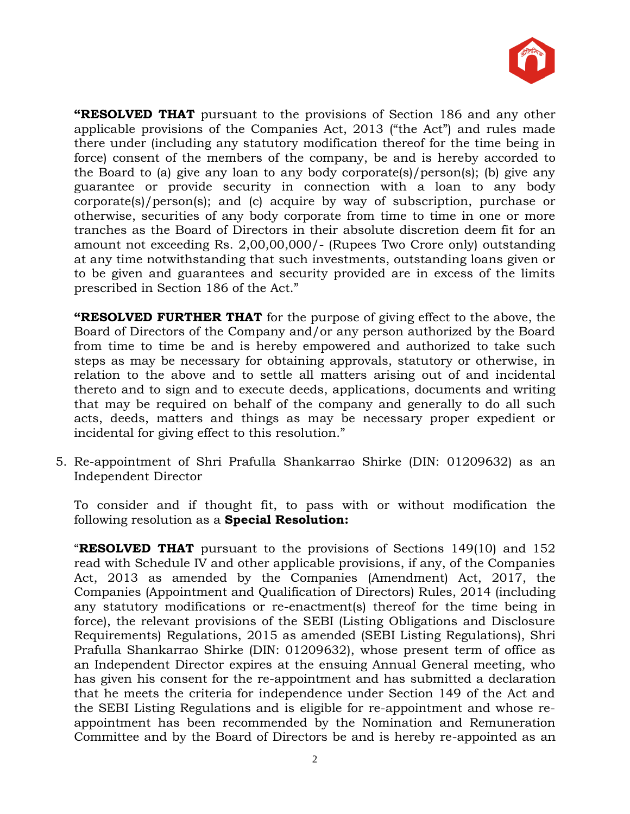

**"RESOLVED THAT** pursuant to the provisions of Section 186 and any other applicable provisions of the Companies Act, 2013 ("the Act") and rules made there under (including any statutory modification thereof for the time being in force) consent of the members of the company, be and is hereby accorded to the Board to (a) give any loan to any body corporate(s)/person(s); (b) give any guarantee or provide security in connection with a loan to any body corporate(s)/person(s); and (c) acquire by way of subscription, purchase or otherwise, securities of any body corporate from time to time in one or more tranches as the Board of Directors in their absolute discretion deem fit for an amount not exceeding Rs. 2,00,00,000/- (Rupees Two Crore only) outstanding at any time notwithstanding that such investments, outstanding loans given or to be given and guarantees and security provided are in excess of the limits prescribed in Section 186 of the Act."

**"RESOLVED FURTHER THAT** for the purpose of giving effect to the above, the Board of Directors of the Company and/or any person authorized by the Board from time to time be and is hereby empowered and authorized to take such steps as may be necessary for obtaining approvals, statutory or otherwise, in relation to the above and to settle all matters arising out of and incidental thereto and to sign and to execute deeds, applications, documents and writing that may be required on behalf of the company and generally to do all such acts, deeds, matters and things as may be necessary proper expedient or incidental for giving effect to this resolution."

5. Re-appointment of Shri Prafulla Shankarrao Shirke (DIN: 01209632) as an Independent Director

To consider and if thought fit, to pass with or without modification the following resolution as a **Special Resolution:**

"**RESOLVED THAT** pursuant to the provisions of Sections 149(10) and 152 read with Schedule IV and other applicable provisions, if any, of the Companies Act, 2013 as amended by the Companies (Amendment) Act, 2017, the Companies (Appointment and Qualification of Directors) Rules, 2014 (including any statutory modifications or re-enactment(s) thereof for the time being in force), the relevant provisions of the SEBI (Listing Obligations and Disclosure Requirements) Regulations, 2015 as amended (SEBI Listing Regulations), Shri Prafulla Shankarrao Shirke (DIN: 01209632), whose present term of office as an Independent Director expires at the ensuing Annual General meeting, who has given his consent for the re-appointment and has submitted a declaration that he meets the criteria for independence under Section 149 of the Act and the SEBI Listing Regulations and is eligible for re-appointment and whose reappointment has been recommended by the Nomination and Remuneration Committee and by the Board of Directors be and is hereby re-appointed as an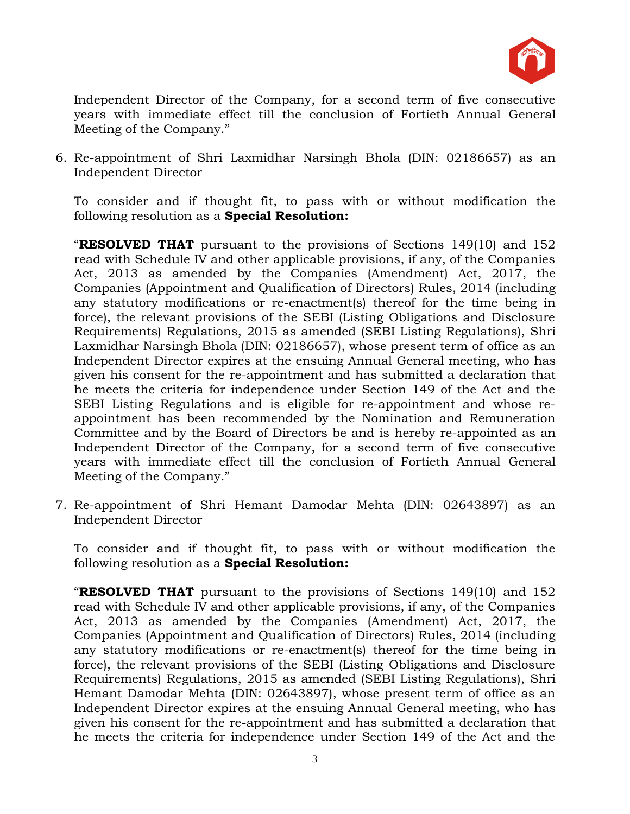

Independent Director of the Company, for a second term of five consecutive years with immediate effect till the conclusion of Fortieth Annual General Meeting of the Company."

6. Re-appointment of Shri Laxmidhar Narsingh Bhola (DIN: 02186657) as an Independent Director

To consider and if thought fit, to pass with or without modification the following resolution as a **Special Resolution:**

"**RESOLVED THAT** pursuant to the provisions of Sections 149(10) and 152 read with Schedule IV and other applicable provisions, if any, of the Companies Act, 2013 as amended by the Companies (Amendment) Act, 2017, the Companies (Appointment and Qualification of Directors) Rules, 2014 (including any statutory modifications or re-enactment(s) thereof for the time being in force), the relevant provisions of the SEBI (Listing Obligations and Disclosure Requirements) Regulations, 2015 as amended (SEBI Listing Regulations), Shri Laxmidhar Narsingh Bhola (DIN: 02186657), whose present term of office as an Independent Director expires at the ensuing Annual General meeting, who has given his consent for the re-appointment and has submitted a declaration that he meets the criteria for independence under Section 149 of the Act and the SEBI Listing Regulations and is eligible for re-appointment and whose reappointment has been recommended by the Nomination and Remuneration Committee and by the Board of Directors be and is hereby re-appointed as an Independent Director of the Company, for a second term of five consecutive years with immediate effect till the conclusion of Fortieth Annual General Meeting of the Company."

7. Re-appointment of Shri Hemant Damodar Mehta (DIN: 02643897) as an Independent Director

To consider and if thought fit, to pass with or without modification the following resolution as a **Special Resolution:**

"**RESOLVED THAT** pursuant to the provisions of Sections 149(10) and 152 read with Schedule IV and other applicable provisions, if any, of the Companies Act, 2013 as amended by the Companies (Amendment) Act, 2017, the Companies (Appointment and Qualification of Directors) Rules, 2014 (including any statutory modifications or re-enactment(s) thereof for the time being in force), the relevant provisions of the SEBI (Listing Obligations and Disclosure Requirements) Regulations, 2015 as amended (SEBI Listing Regulations), Shri Hemant Damodar Mehta (DIN: 02643897), whose present term of office as an Independent Director expires at the ensuing Annual General meeting, who has given his consent for the re-appointment and has submitted a declaration that he meets the criteria for independence under Section 149 of the Act and the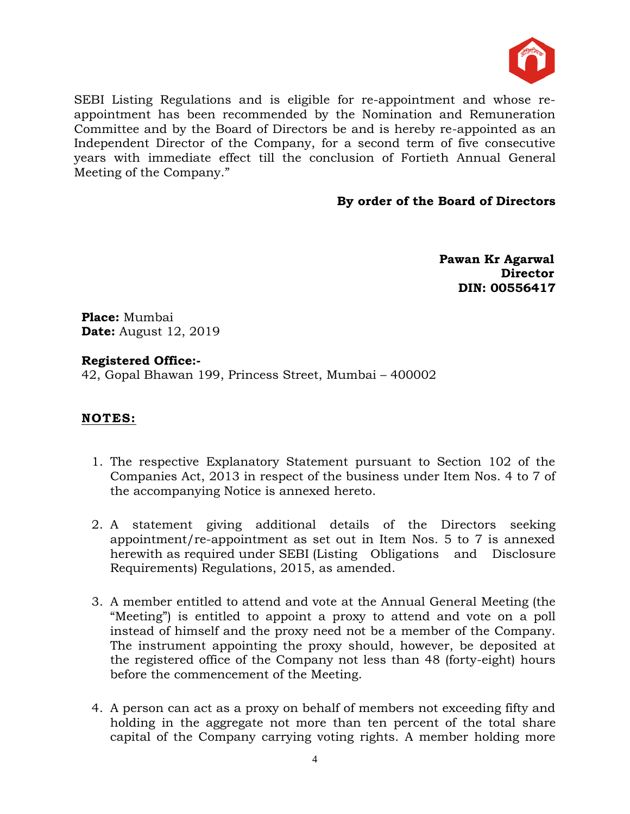

SEBI Listing Regulations and is eligible for re-appointment and whose reappointment has been recommended by the Nomination and Remuneration Committee and by the Board of Directors be and is hereby re-appointed as an Independent Director of the Company, for a second term of five consecutive years with immediate effect till the conclusion of Fortieth Annual General Meeting of the Company."

#### **By order of the Board of Directors**

 **Pawan Kr Agarwal Director DIN: 00556417**

**Place:** Mumbai **Date:** August 12, 2019

#### **Registered Office:-**

42, Gopal Bhawan 199, Princess Street, Mumbai – 400002

## **NOTES:**

- 1. The respective Explanatory Statement pursuant to Section 102 of the Companies Act, 2013 in respect of the business under Item Nos. 4 to 7 of the accompanying Notice is annexed hereto.
- 2. A statement giving additional details of the Directors seeking appointment/re-appointment as set out in Item Nos. 5 to 7 is annexed herewith as required under SEBI (Listing Obligations and Disclosure Requirements) Regulations, 2015, as amended.
- 3. A member entitled to attend and vote at the Annual General Meeting (the "Meeting") is entitled to appoint a proxy to attend and vote on a poll instead of himself and the proxy need not be a member of the Company. The instrument appointing the proxy should, however, be deposited at the registered office of the Company not less than 48 (forty-eight) hours before the commencement of the Meeting.
- 4. A person can act as a proxy on behalf of members not exceeding fifty and holding in the aggregate not more than ten percent of the total share capital of the Company carrying voting rights. A member holding more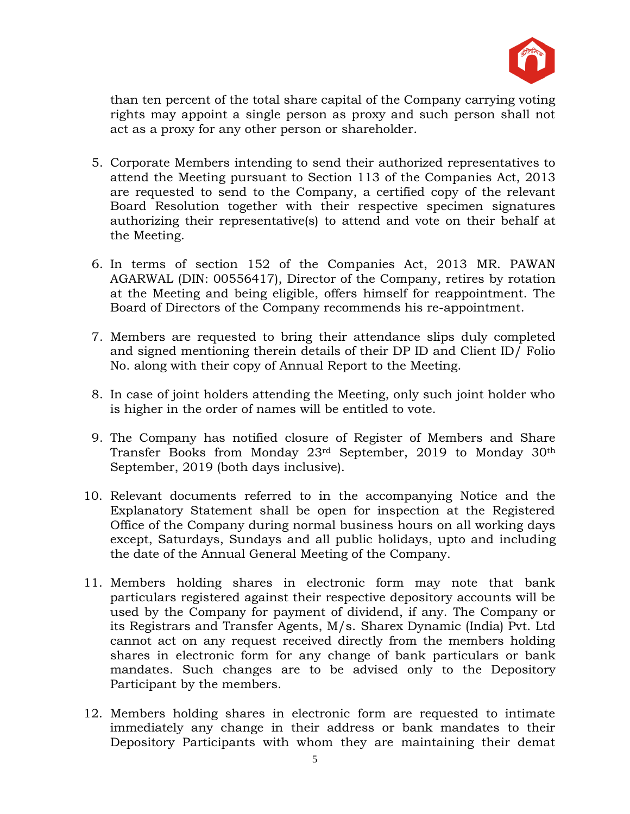

than ten percent of the total share capital of the Company carrying voting rights may appoint a single person as proxy and such person shall not act as a proxy for any other person or shareholder.

- 5. Corporate Members intending to send their authorized representatives to attend the Meeting pursuant to Section 113 of the Companies Act, 2013 are requested to send to the Company, a certified copy of the relevant Board Resolution together with their respective specimen signatures authorizing their representative(s) to attend and vote on their behalf at the Meeting.
- 6. In terms of section 152 of the Companies Act, 2013 MR. PAWAN AGARWAL (DIN: 00556417), Director of the Company, retires by rotation at the Meeting and being eligible, offers himself for reappointment. The Board of Directors of the Company recommends his re-appointment.
- 7. Members are requested to bring their attendance slips duly completed and signed mentioning therein details of their DP ID and Client ID/ Folio No. along with their copy of Annual Report to the Meeting.
- 8. In case of joint holders attending the Meeting, only such joint holder who is higher in the order of names will be entitled to vote.
- 9. The Company has notified closure of Register of Members and Share Transfer Books from Monday 23rd September, 2019 to Monday 30th September, 2019 (both days inclusive).
- 10. Relevant documents referred to in the accompanying Notice and the Explanatory Statement shall be open for inspection at the Registered Office of the Company during normal business hours on all working days except, Saturdays, Sundays and all public holidays, upto and including the date of the Annual General Meeting of the Company.
- 11. Members holding shares in electronic form may note that bank particulars registered against their respective depository accounts will be used by the Company for payment of dividend, if any. The Company or its Registrars and Transfer Agents, M/s. Sharex Dynamic (India) Pvt. Ltd cannot act on any request received directly from the members holding shares in electronic form for any change of bank particulars or bank mandates. Such changes are to be advised only to the Depository Participant by the members.
- 12. Members holding shares in electronic form are requested to intimate immediately any change in their address or bank mandates to their Depository Participants with whom they are maintaining their demat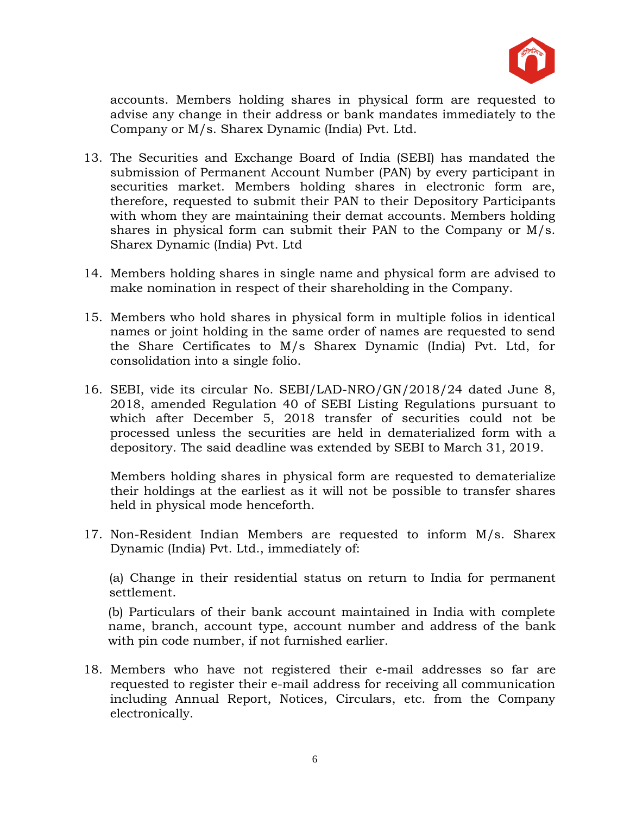

accounts. Members holding shares in physical form are requested to advise any change in their address or bank mandates immediately to the Company or M/s. Sharex Dynamic (India) Pvt. Ltd.

- 13. The Securities and Exchange Board of India (SEBI) has mandated the submission of Permanent Account Number (PAN) by every participant in securities market. Members holding shares in electronic form are, therefore, requested to submit their PAN to their Depository Participants with whom they are maintaining their demat accounts. Members holding shares in physical form can submit their PAN to the Company or M/s. Sharex Dynamic (India) Pvt. Ltd
- 14. Members holding shares in single name and physical form are advised to make nomination in respect of their shareholding in the Company.
- 15. Members who hold shares in physical form in multiple folios in identical names or joint holding in the same order of names are requested to send the Share Certificates to M/s Sharex Dynamic (India) Pvt. Ltd, for consolidation into a single folio.
- 16. SEBI, vide its circular No. SEBI/LAD-NRO/GN/2018/24 dated June 8, 2018, amended Regulation 40 of SEBI Listing Regulations pursuant to which after December 5, 2018 transfer of securities could not be processed unless the securities are held in dematerialized form with a depository. The said deadline was extended by SEBI to March 31, 2019.

Members holding shares in physical form are requested to dematerialize their holdings at the earliest as it will not be possible to transfer shares held in physical mode henceforth.

17. Non-Resident Indian Members are requested to inform M/s. Sharex Dynamic (India) Pvt. Ltd., immediately of:

(a) Change in their residential status on return to India for permanent settlement.

(b) Particulars of their bank account maintained in India with complete name, branch, account type, account number and address of the bank with pin code number, if not furnished earlier.

18. Members who have not registered their e-mail addresses so far are requested to register their e-mail address for receiving all communication including Annual Report, Notices, Circulars, etc. from the Company electronically.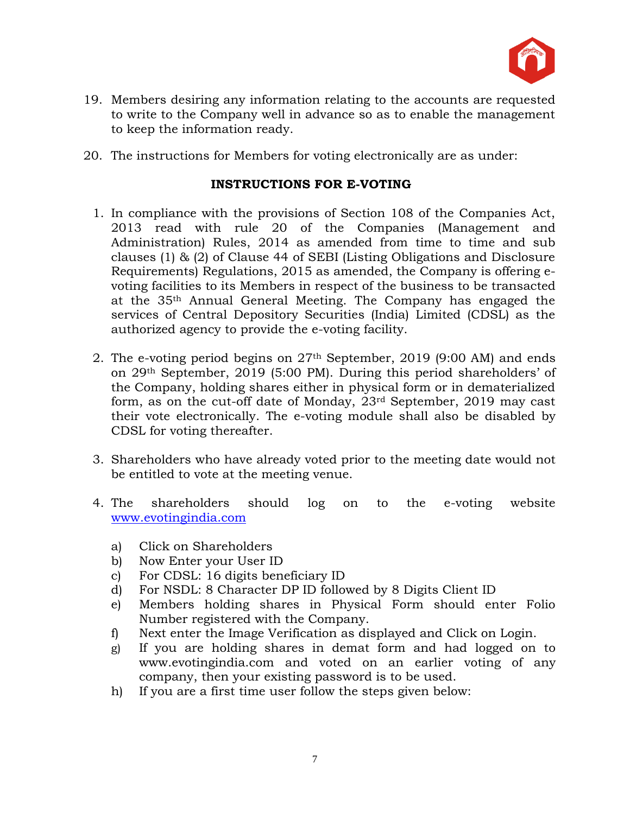

- 19. Members desiring any information relating to the accounts are requested to write to the Company well in advance so as to enable the management to keep the information ready.
- 20. The instructions for Members for voting electronically are as under:

## **INSTRUCTIONS FOR E-VOTING**

- 1. In compliance with the provisions of Section 108 of the Companies Act, 2013 read with rule 20 of the Companies (Management and Administration) Rules, 2014 as amended from time to time and sub clauses (1) & (2) of Clause 44 of SEBI (Listing Obligations and Disclosure Requirements) Regulations, 2015 as amended, the Company is offering evoting facilities to its Members in respect of the business to be transacted at the 35th Annual General Meeting. The Company has engaged the services of Central Depository Securities (India) Limited (CDSL) as the authorized agency to provide the e-voting facility.
- 2. The e-voting period begins on 27th September, 2019 (9:00 AM) and ends on 29th September, 2019 (5:00 PM). During this period shareholders' of the Company, holding shares either in physical form or in dematerialized form, as on the cut-off date of Monday, 23rd September, 2019 may cast their vote electronically. The e-voting module shall also be disabled by CDSL for voting thereafter.
- 3. Shareholders who have already voted prior to the meeting date would not be entitled to vote at the meeting venue.
- 4. The shareholders should log on to the e-voting website <www.evotingindia.com>
	- a) Click on Shareholders
	- b) Now Enter your User ID
	- c) For CDSL: 16 digits beneficiary ID
	- d) For NSDL: 8 Character DP ID followed by 8 Digits Client ID
	- e) Members holding shares in Physical Form should enter Folio Number registered with the Company.
	- f) Next enter the Image Verification as displayed and Click on Login.
	- g) If you are holding shares in demat form and had logged on to www.evotingindia.com and voted on an earlier voting of any company, then your existing password is to be used.
	- h) If you are a first time user follow the steps given below: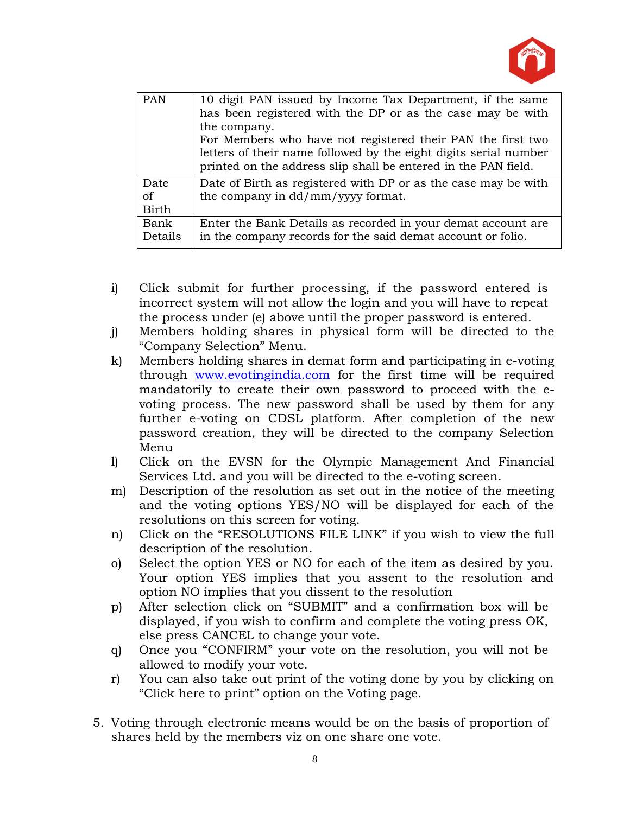

| <b>PAN</b>                 | 10 digit PAN issued by Income Tax Department, if the same<br>has been registered with the DP or as the case may be with<br>the company.<br>For Members who have not registered their PAN the first two<br>letters of their name followed by the eight digits serial number<br>printed on the address slip shall be entered in the PAN field. |
|----------------------------|----------------------------------------------------------------------------------------------------------------------------------------------------------------------------------------------------------------------------------------------------------------------------------------------------------------------------------------------|
| Date<br>of<br><b>Birth</b> | Date of Birth as registered with DP or as the case may be with<br>the company in dd/mm/yyyy format.                                                                                                                                                                                                                                          |
| Bank<br>Details            | Enter the Bank Details as recorded in your demat account are<br>in the company records for the said demat account or folio.                                                                                                                                                                                                                  |

- i) Click submit for further processing, if the password entered is incorrect system will not allow the login and you will have to repeat the process under (e) above until the proper password is entered.
- j) Members holding shares in physical form will be directed to the "Company Selection" Menu.
- k) Members holding shares in demat form and participating in e-voting through [www.evotingindia.com](http://www.evotingindia.com/) for the first time will be required mandatorily to create their own password to proceed with the evoting process. The new password shall be used by them for any further e-voting on CDSL platform. After completion of the new password creation, they will be directed to the company Selection Menu
- l) Click on the EVSN for the Olympic Management And Financial Services Ltd. and you will be directed to the e-voting screen.
- m) Description of the resolution as set out in the notice of the meeting and the voting options YES/NO will be displayed for each of the resolutions on this screen for voting.
- n) Click on the "RESOLUTIONS FILE LINK" if you wish to view the full description of the resolution.
- o) Select the option YES or NO for each of the item as desired by you. Your option YES implies that you assent to the resolution and option NO implies that you dissent to the resolution
- p) After selection click on "SUBMIT" and a confirmation box will be displayed, if you wish to confirm and complete the voting press OK, else press CANCEL to change your vote.
- q) Once you "CONFIRM" your vote on the resolution, you will not be allowed to modify your vote.
- r) You can also take out print of the voting done by you by clicking on "Click here to print" option on the Voting page.
- 5. Voting through electronic means would be on the basis of proportion of shares held by the members viz on one share one vote.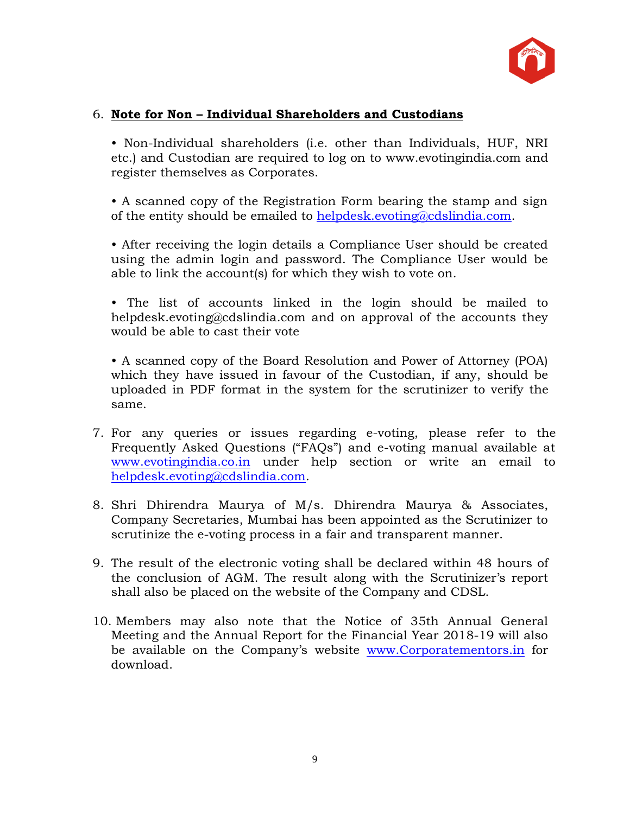

## 6. **Note for Non – Individual Shareholders and Custodians**

• Non-Individual shareholders (i.e. other than Individuals, HUF, NRI etc.) and Custodian are required to log on to www.evotingindia.com and register themselves as Corporates.

• A scanned copy of the Registration Form bearing the stamp and sign of the entity should be emailed to [helpdesk.evoting@cdslindia.com.](mailto:helpdesk.evoting@cdslindia.com)

• After receiving the login details a Compliance User should be created using the admin login and password. The Compliance User would be able to link the account(s) for which they wish to vote on.

• The list of accounts linked in the login should be mailed to helpdesk.evoting@cdslindia.com and on approval of the accounts they would be able to cast their vote

• A scanned copy of the Board Resolution and Power of Attorney (POA) which they have issued in favour of the Custodian, if any, should be uploaded in PDF format in the system for the scrutinizer to verify the same.

- 7. For any queries or issues regarding e-voting, please refer to the Frequently Asked Questions ("FAQs") and e-voting manual available at [www.evotingindia.co.in](http://www.evotingindia.co.in/) under help section or write an email to [helpdesk.evoting@cdslindia.com.](mailto:helpdesk.evoting@cdslindia.com)
- 8. Shri Dhirendra Maurya of M/s. Dhirendra Maurya & Associates, Company Secretaries, Mumbai has been appointed as the Scrutinizer to scrutinize the e-voting process in a fair and transparent manner.
- 9. The result of the electronic voting shall be declared within 48 hours of the conclusion of AGM. The result along with the Scrutinizer's report shall also be placed on the website of the Company and CDSL.
- 10. Members may also note that the Notice of 35th Annual General Meeting and the Annual Report for the Financial Year 2018-19 will also be available on the Company's website [www.Corporatementors.in](http://www.corporatementors.in/) for download.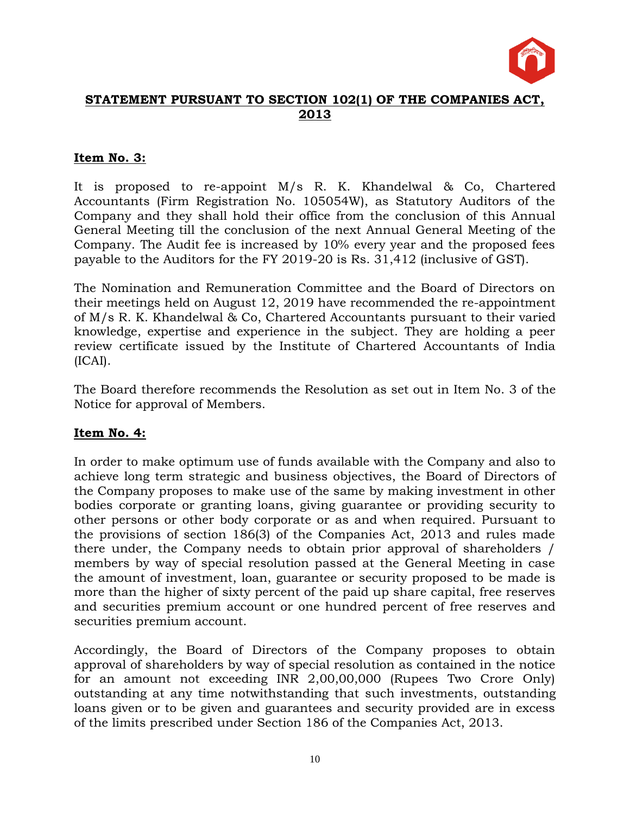

## **STATEMENT PURSUANT TO SECTION 102(1) OF THE COMPANIES ACT, 2013**

## **Item No. 3:**

It is proposed to re-appoint M/s R. K. Khandelwal & Co, Chartered Accountants (Firm Registration No. 105054W), as Statutory Auditors of the Company and they shall hold their office from the conclusion of this Annual General Meeting till the conclusion of the next Annual General Meeting of the Company. The Audit fee is increased by 10% every year and the proposed fees payable to the Auditors for the FY 2019-20 is Rs. 31,412 (inclusive of GST).

The Nomination and Remuneration Committee and the Board of Directors on their meetings held on August 12, 2019 have recommended the re-appointment of M/s R. K. Khandelwal & Co, Chartered Accountants pursuant to their varied knowledge, expertise and experience in the subject. They are holding a peer review certificate issued by the Institute of Chartered Accountants of India (ICAI).

The Board therefore recommends the Resolution as set out in Item No. 3 of the Notice for approval of Members.

## **Item No. 4:**

In order to make optimum use of funds available with the Company and also to achieve long term strategic and business objectives, the Board of Directors of the Company proposes to make use of the same by making investment in other bodies corporate or granting loans, giving guarantee or providing security to other persons or other body corporate or as and when required. Pursuant to the provisions of section 186(3) of the Companies Act, 2013 and rules made there under, the Company needs to obtain prior approval of shareholders / members by way of special resolution passed at the General Meeting in case the amount of investment, loan, guarantee or security proposed to be made is more than the higher of sixty percent of the paid up share capital, free reserves and securities premium account or one hundred percent of free reserves and securities premium account.

Accordingly, the Board of Directors of the Company proposes to obtain approval of shareholders by way of special resolution as contained in the notice for an amount not exceeding INR 2,00,00,000 (Rupees Two Crore Only) outstanding at any time notwithstanding that such investments, outstanding loans given or to be given and guarantees and security provided are in excess of the limits prescribed under Section 186 of the Companies Act, 2013.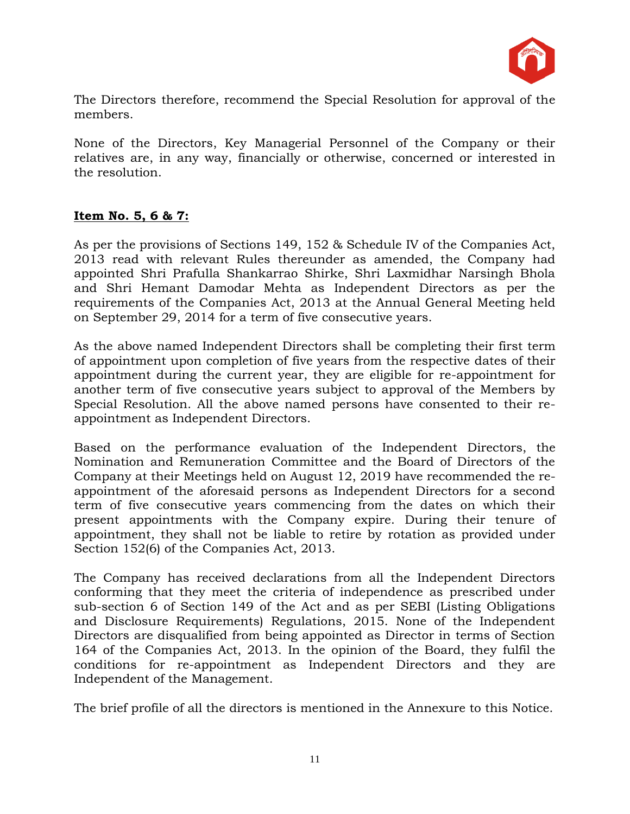

The Directors therefore, recommend the Special Resolution for approval of the members.

None of the Directors, Key Managerial Personnel of the Company or their relatives are, in any way, financially or otherwise, concerned or interested in the resolution.

## **Item No. 5, 6 & 7:**

As per the provisions of Sections 149, 152 & Schedule IV of the Companies Act, 2013 read with relevant Rules thereunder as amended, the Company had appointed Shri Prafulla Shankarrao Shirke, Shri Laxmidhar Narsingh Bhola and Shri Hemant Damodar Mehta as Independent Directors as per the requirements of the Companies Act, 2013 at the Annual General Meeting held on September 29, 2014 for a term of five consecutive years.

As the above named Independent Directors shall be completing their first term of appointment upon completion of five years from the respective dates of their appointment during the current year, they are eligible for re-appointment for another term of five consecutive years subject to approval of the Members by Special Resolution. All the above named persons have consented to their reappointment as Independent Directors.

Based on the performance evaluation of the Independent Directors, the Nomination and Remuneration Committee and the Board of Directors of the Company at their Meetings held on August 12, 2019 have recommended the reappointment of the aforesaid persons as Independent Directors for a second term of five consecutive years commencing from the dates on which their present appointments with the Company expire. During their tenure of appointment, they shall not be liable to retire by rotation as provided under Section 152(6) of the Companies Act, 2013.

The Company has received declarations from all the Independent Directors conforming that they meet the criteria of independence as prescribed under sub-section 6 of Section 149 of the Act and as per SEBI (Listing Obligations and Disclosure Requirements) Regulations, 2015. None of the Independent Directors are disqualified from being appointed as Director in terms of Section 164 of the Companies Act, 2013. In the opinion of the Board, they fulfil the conditions for re-appointment as Independent Directors and they are Independent of the Management.

The brief profile of all the directors is mentioned in the Annexure to this Notice.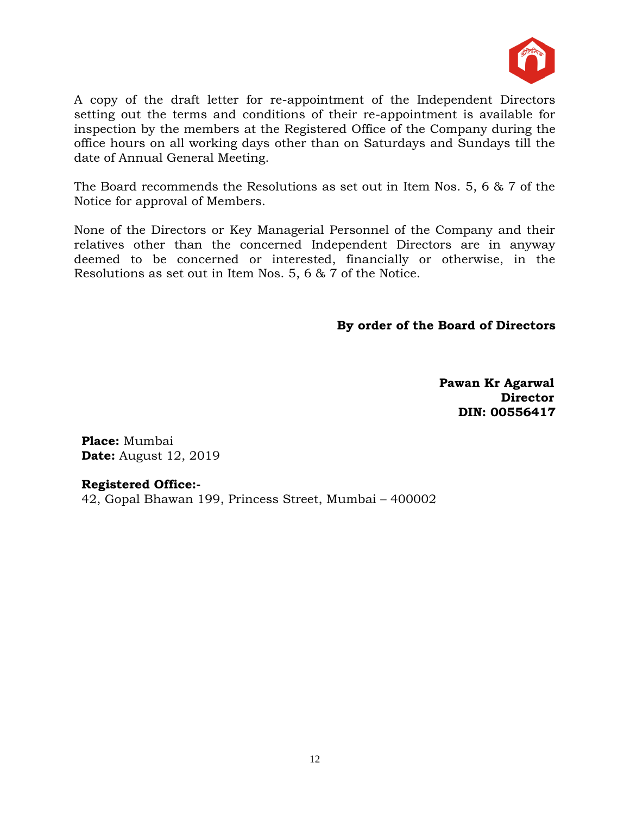

A copy of the draft letter for re-appointment of the Independent Directors setting out the terms and conditions of their re-appointment is available for inspection by the members at the Registered Office of the Company during the office hours on all working days other than on Saturdays and Sundays till the date of Annual General Meeting.

The Board recommends the Resolutions as set out in Item Nos. 5, 6 & 7 of the Notice for approval of Members.

None of the Directors or Key Managerial Personnel of the Company and their relatives other than the concerned Independent Directors are in anyway deemed to be concerned or interested, financially or otherwise, in the Resolutions as set out in Item Nos. 5, 6 & 7 of the Notice.

**By order of the Board of Directors**

 **Pawan Kr Agarwal Director DIN: 00556417**

**Place:** Mumbai **Date:** August 12, 2019

## **Registered Office:-**

42, Gopal Bhawan 199, Princess Street, Mumbai – 400002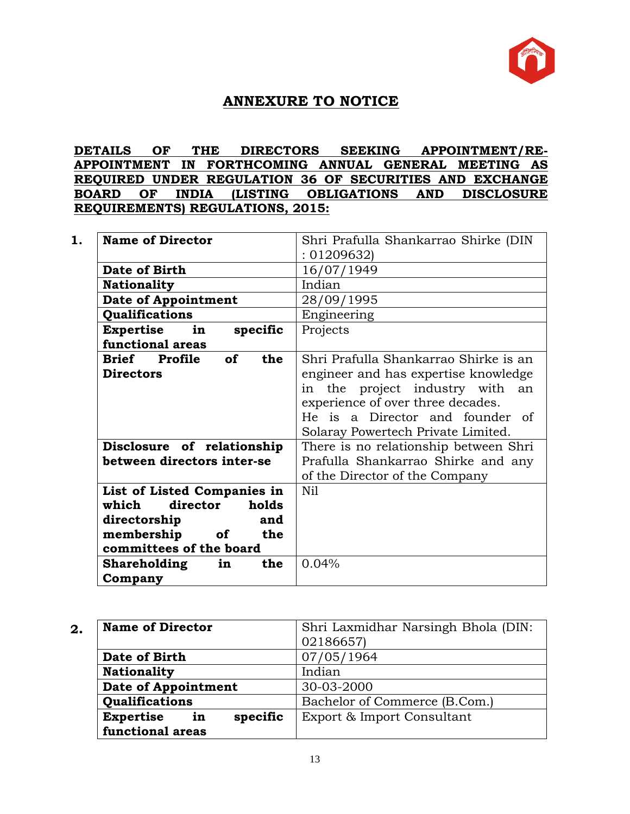

## **ANNEXURE TO NOTICE**

## **DETAILS OF THE DIRECTORS SEEKING APPOINTMENT/RE-APPOINTMENT IN FORTHCOMING ANNUAL GENERAL MEETING AS REQUIRED UNDER REGULATION 36 OF SECURITIES AND EXCHANGE BOARD OF INDIA (LISTING OBLIGATIONS AND DISCLOSURE REQUIREMENTS) REGULATIONS, 2015:**

| <b>Name of Director</b>                  | Shri Prafulla Shankarrao Shirke (DIN  |
|------------------------------------------|---------------------------------------|
|                                          | :01209632                             |
| Date of Birth                            | 16/07/1949                            |
| <b>Nationality</b>                       | Indian                                |
| Date of Appointment                      | 28/09/1995                            |
| Qualifications                           | Engineering                           |
| <b>Expertise</b><br>in<br>specific       | Projects                              |
| functional areas                         |                                       |
| <b>of</b><br>the<br><b>Brief</b> Profile | Shri Prafulla Shankarrao Shirke is an |
| <b>Directors</b>                         | engineer and has expertise knowledge  |
|                                          | in the project industry with<br>an    |
|                                          | experience of over three decades.     |
|                                          | He is a Director and founder of       |
|                                          | Solaray Powertech Private Limited.    |
| Disclosure of relationship               | There is no relationship between Shri |
| between directors inter-se               | Prafulla Shankarrao Shirke and any    |
|                                          | of the Director of the Company        |
| List of Listed Companies in              | Nil                                   |
| director<br>which<br>holds               |                                       |
| directorship<br>and                      |                                       |
| membership<br>of<br>the                  |                                       |
| committees of the board                  |                                       |
| the<br><b>Shareholding</b><br>in         | 0.04%                                 |
| Company                                  |                                       |

| 2. | <b>Name of Director</b>            | Shri Laxmidhar Narsingh Bhola (DIN: |
|----|------------------------------------|-------------------------------------|
|    |                                    | 02186657)                           |
|    | Date of Birth                      | 07/05/1964                          |
|    | <b>Nationality</b>                 | Indian                              |
|    | <b>Date of Appointment</b>         | 30-03-2000                          |
|    | Qualifications                     | Bachelor of Commerce (B.Com.)       |
|    | <b>Expertise</b><br>specific<br>in | Export & Import Consultant          |
|    | functional areas                   |                                     |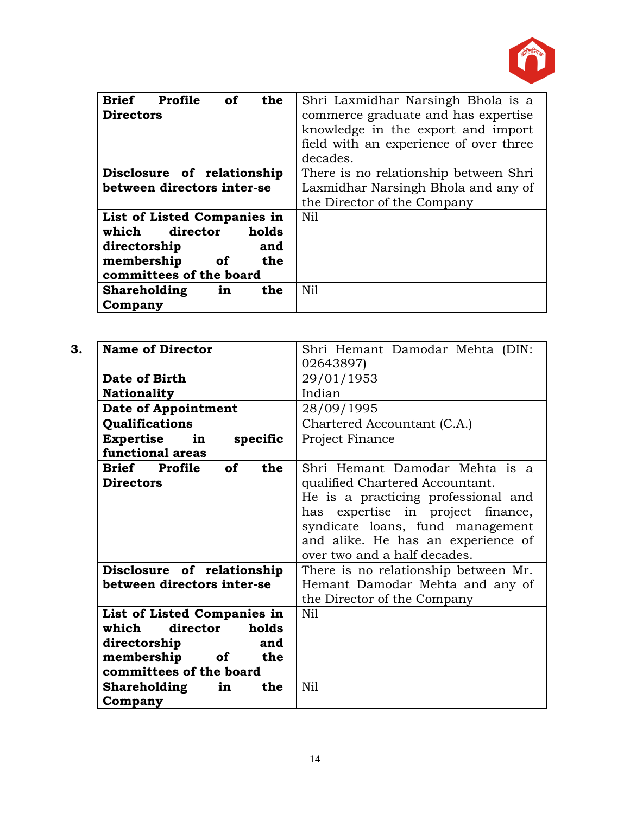

| <b>Brief</b><br>the<br>Profile<br><b>of</b><br><b>Directors</b> | Shri Laxmidhar Narsingh Bhola is a<br>commerce graduate and has expertise<br>knowledge in the export and import<br>field with an experience of over three<br>decades. |
|-----------------------------------------------------------------|-----------------------------------------------------------------------------------------------------------------------------------------------------------------------|
| Disclosure of relationship                                      | There is no relationship between Shri                                                                                                                                 |
| between directors inter-se                                      | Laxmidhar Narsingh Bhola and any of                                                                                                                                   |
|                                                                 | the Director of the Company                                                                                                                                           |
| List of Listed Companies in                                     | N <sub>il</sub>                                                                                                                                                       |
| holds<br>which<br>director                                      |                                                                                                                                                                       |
| directorship<br>and                                             |                                                                                                                                                                       |
| membership<br>the<br><b>of</b>                                  |                                                                                                                                                                       |
| committees of the board                                         |                                                                                                                                                                       |
| <b>Shareholding</b><br>the<br>in                                | Nil                                                                                                                                                                   |
| Company                                                         |                                                                                                                                                                       |

| 3.<br><b>Name of Director</b>                                                                                                       | Shri Hemant Damodar Mehta (DIN:<br>02643897)                                                                                                                                                                                                            |
|-------------------------------------------------------------------------------------------------------------------------------------|---------------------------------------------------------------------------------------------------------------------------------------------------------------------------------------------------------------------------------------------------------|
| Date of Birth                                                                                                                       | 29/01/1953                                                                                                                                                                                                                                              |
| <b>Nationality</b>                                                                                                                  | Indian                                                                                                                                                                                                                                                  |
| <b>Date of Appointment</b>                                                                                                          | 28/09/1995                                                                                                                                                                                                                                              |
| Qualifications                                                                                                                      | Chartered Accountant (C.A.)                                                                                                                                                                                                                             |
| Expertise in<br>specific<br>functional areas                                                                                        | Project Finance                                                                                                                                                                                                                                         |
| Brief Profile of<br>the<br><b>Directors</b>                                                                                         | Shri Hemant Damodar Mehta is a<br>qualified Chartered Accountant.<br>He is a practicing professional and<br>has expertise in project finance,<br>syndicate loans, fund management<br>and alike. He has an experience of<br>over two and a half decades. |
| Disclosure of relationship                                                                                                          | There is no relationship between Mr.                                                                                                                                                                                                                    |
| between directors inter-se                                                                                                          | Hemant Damodar Mehta and any of<br>the Director of the Company                                                                                                                                                                                          |
| List of Listed Companies in<br>director<br>which<br>holds<br>directorship<br>and<br>membership of<br>the<br>committees of the board | Nil                                                                                                                                                                                                                                                     |
| the<br>Shareholding in<br>Company                                                                                                   | Nil                                                                                                                                                                                                                                                     |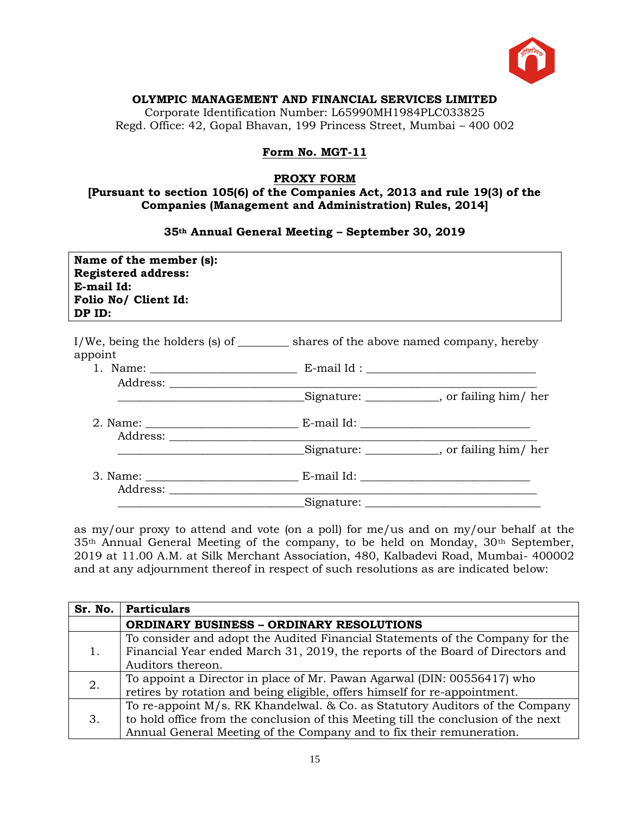

#### **OLYMPIC MANAGEMENT AND FINANCIAL SERVICES LIMITED**

Corporate Identification Number: L65990MH1984PLC033825 Regd. Office: 42, Gopal Bhavan, 199 Princess Street, Mumbai – 400 002

#### **Form No. MGT-11**

#### **PROXY FORM**

#### **[Pursuant to section 105(6) of the Companies Act, 2013 and rule 19(3) of the Companies (Management and Administration) Rules, 2014]**

#### **35th Annual General Meeting – September 30, 2019**

| Name of the member (s):<br><b>Registered address:</b><br>E-mail Id:<br>Folio No/ Client Id:<br>DP ID: |                                                                                     |
|-------------------------------------------------------------------------------------------------------|-------------------------------------------------------------------------------------|
| appoint                                                                                               | I/We, being the holders (s) of __________ shares of the above named company, hereby |
|                                                                                                       |                                                                                     |
|                                                                                                       |                                                                                     |
|                                                                                                       |                                                                                     |
|                                                                                                       | Signature: _____________, or failing him/ her                                       |
|                                                                                                       |                                                                                     |
|                                                                                                       |                                                                                     |

as my/our proxy to attend and vote (on a poll) for me/us and on my/our behalf at the 35th Annual General Meeting of the company, to be held on Monday, 30th September, 2019 at 11.00 A.M. at Silk Merchant Association, 480, Kalbadevi Road, Mumbai- 400002 and at any adjournment thereof in respect of such resolutions as are indicated below:

| Sr. No. | Particulars                                                                                                                                                                                                                                |
|---------|--------------------------------------------------------------------------------------------------------------------------------------------------------------------------------------------------------------------------------------------|
|         | <b>ORDINARY BUSINESS - ORDINARY RESOLUTIONS</b>                                                                                                                                                                                            |
|         | To consider and adopt the Audited Financial Statements of the Company for the<br>Financial Year ended March 31, 2019, the reports of the Board of Directors and<br>Auditors thereon.                                                       |
| 2.      | To appoint a Director in place of Mr. Pawan Agarwal (DIN: 00556417) who<br>retires by rotation and being eligible, offers himself for re-appointment.                                                                                      |
| 3.      | To re-appoint M/s. RK Khandelwal. & Co. as Statutory Auditors of the Company<br>to hold office from the conclusion of this Meeting till the conclusion of the next<br>Annual General Meeting of the Company and to fix their remuneration. |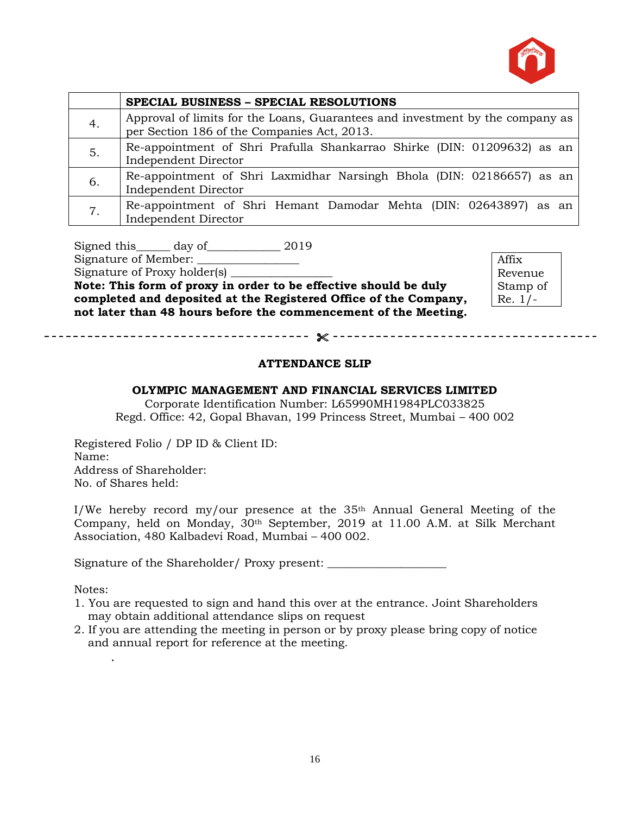

|                | SPECIAL BUSINESS - SPECIAL RESOLUTIONS                                                                                       |
|----------------|------------------------------------------------------------------------------------------------------------------------------|
| 4.             | Approval of limits for the Loans, Guarantees and investment by the company as<br>per Section 186 of the Companies Act, 2013. |
| 5.             | Re-appointment of Shri Prafulla Shankarrao Shirke (DIN: 01209632) as an<br>Independent Director                              |
| 6.             | Re-appointment of Shri Laxmidhar Narsingh Bhola (DIN: 02186657) as an<br>Independent Director                                |
| 7 <sub>1</sub> | Re-appointment of Shri Hemant Damodar Mehta (DIN: 02643897) as an<br><b>Independent Director</b>                             |

Signed this day of 2019

Signature of Member: \_\_\_\_\_\_\_\_\_\_\_\_\_\_\_\_\_\_

Signature of Proxy holder(s) \_\_\_\_\_\_\_\_\_\_\_\_\_\_\_\_\_\_

**Note: This form of proxy in order to be effective should be duly completed and deposited at the Registered Office of the Company, not later than 48 hours before the commencement of the Meeting.**

Affix Revenue Stamp of Re. 1/-

#### **ATTENDANCE SLIP**

#### **OLYMPIC MANAGEMENT AND FINANCIAL SERVICES LIMITED**

Corporate Identification Number: L65990MH1984PLC033825 Regd. Office: 42, Gopal Bhavan, 199 Princess Street, Mumbai – 400 002

Registered Folio / DP ID & Client ID: Name: Address of Shareholder: No. of Shares held:

I/We hereby record my/our presence at the 35th Annual General Meeting of the Company, held on Monday, 30th September, 2019 at 11.00 A.M. at Silk Merchant Association, 480 Kalbadevi Road, Mumbai – 400 002.

Signature of the Shareholder/ Proxy present: \_\_\_\_\_\_\_\_\_\_\_\_\_\_\_\_\_\_\_\_\_\_\_\_\_\_\_\_\_\_\_\_\_\_\_

Notes:

.

- 1. You are requested to sign and hand this over at the entrance. Joint Shareholders may obtain additional attendance slips on request
- 2. If you are attending the meeting in person or by proxy please bring copy of notice and annual report for reference at the meeting.